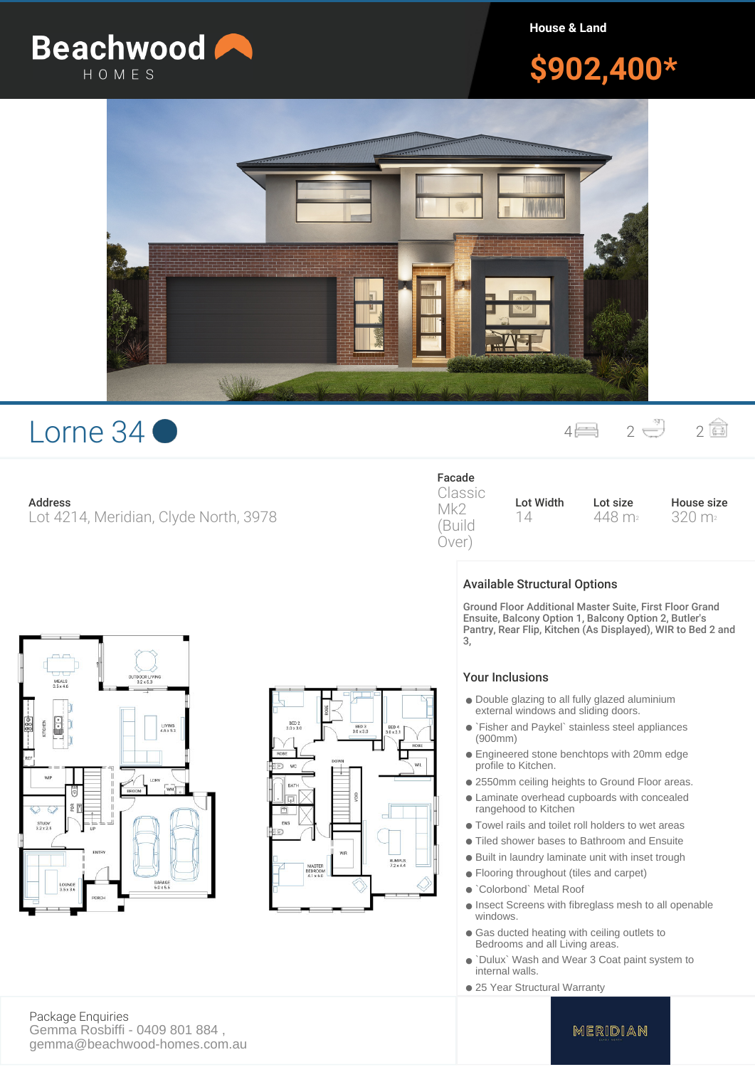

**House & Land**

# **\$902,400\***



## Lorne  $34$   $\bullet$   $4 = 2 \oplus 2 = 2$

## **Address**

Lot 4214, Meridian, Clyde North, 3978

## **Facade**

Classic Mk2 (Build Over)

**Lot Width** 14 **Lot size** 448 m<sup>2</sup> **House size** 320 m<sup>2</sup>

## **Available Structural Options**

Ground Floor Additional Master Suite, First Floor Grand Ensuite, Balcony Option 1, Balcony Option 2, Butler's Pantry, Rear Flip, Kitchen (As Displayed), WIR to Bed 2 and 3,

#### Your Inclusions

- Double glazing to all fully glazed aluminium external windows and sliding doors.
- `Fisher and Paykel` stainless steel appliances (900mm)
- Engineered stone benchtops with 20mm edge profile to Kitchen.
- 2550mm ceiling heights to Ground Floor areas.
- Laminate overhead cupboards with concealed rangehood to Kitchen
- Towel rails and toilet roll holders to wet areas
- Tiled shower bases to Bathroom and Ensuite
- Built in laundry laminate unit with inset trough
- Flooring throughout (tiles and carpet)
- `Colorbond` Metal Roof
- Insect Screens with fibreglass mesh to all openable windows.
- Gas ducted heating with ceiling outlets to Bedrooms and all Living areas.
- `Dulux` Wash and Wear 3 Coat paint system to internal walls.
- 25 Year Structural Warranty

 $MEALS$ <br> $3.5 \times 4.0$ GARAG<br>60 x 5



**Package Enquiries** Gemma Rosbiffi - 0409 801 884 , gemma@beachwood-homes.com.au

## MERIDIAN